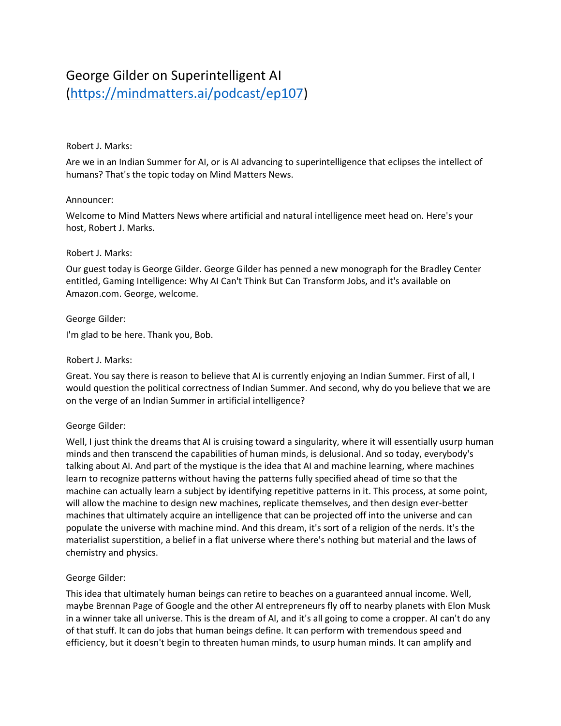# George Gilder on Superintelligent AI

[\(https://mindmatters.ai/podcast/ep107\)](https://mindmatters.ai/podcast/ep107)

# Robert J. Marks:

Are we in an Indian Summer for AI, or is AI advancing to superintelligence that eclipses the intellect of humans? That's the topic today on Mind Matters News.

# Announcer:

Welcome to Mind Matters News where artificial and natural intelligence meet head on. Here's your host, Robert J. Marks.

# Robert J. Marks:

Our guest today is George Gilder. George Gilder has penned a new monograph for the Bradley Center entitled, Gaming Intelligence: Why AI Can't Think But Can Transform Jobs, and it's available on Amazon.com. George, welcome.

# George Gilder:

I'm glad to be here. Thank you, Bob.

## Robert J. Marks:

Great. You say there is reason to believe that AI is currently enjoying an Indian Summer. First of all, I would question the political correctness of Indian Summer. And second, why do you believe that we are on the verge of an Indian Summer in artificial intelligence?

# George Gilder:

Well, I just think the dreams that AI is cruising toward a singularity, where it will essentially usurp human minds and then transcend the capabilities of human minds, is delusional. And so today, everybody's talking about AI. And part of the mystique is the idea that AI and machine learning, where machines learn to recognize patterns without having the patterns fully specified ahead of time so that the machine can actually learn a subject by identifying repetitive patterns in it. This process, at some point, will allow the machine to design new machines, replicate themselves, and then design ever-better machines that ultimately acquire an intelligence that can be projected off into the universe and can populate the universe with machine mind. And this dream, it's sort of a religion of the nerds. It's the materialist superstition, a belief in a flat universe where there's nothing but material and the laws of chemistry and physics.

# George Gilder:

This idea that ultimately human beings can retire to beaches on a guaranteed annual income. Well, maybe Brennan Page of Google and the other AI entrepreneurs fly off to nearby planets with Elon Musk in a winner take all universe. This is the dream of AI, and it's all going to come a cropper. AI can't do any of that stuff. It can do jobs that human beings define. It can perform with tremendous speed and efficiency, but it doesn't begin to threaten human minds, to usurp human minds. It can amplify and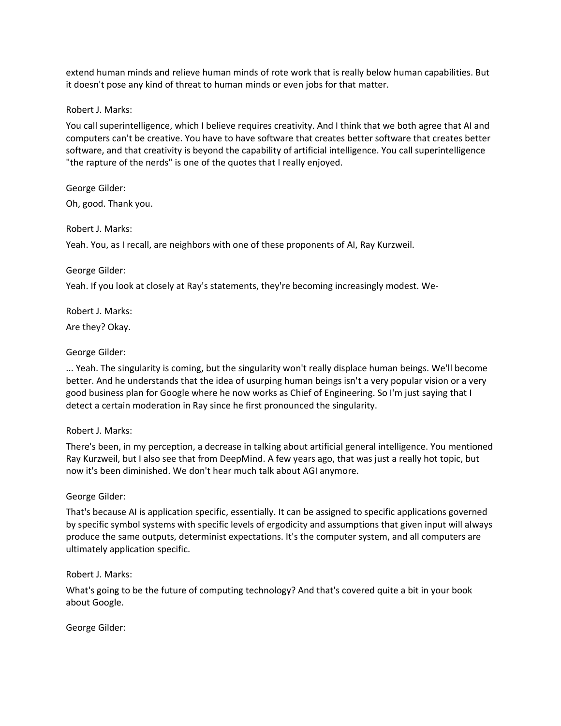extend human minds and relieve human minds of rote work that is really below human capabilities. But it doesn't pose any kind of threat to human minds or even jobs for that matter.

Robert J. Marks:

You call superintelligence, which I believe requires creativity. And I think that we both agree that AI and computers can't be creative. You have to have software that creates better software that creates better software, and that creativity is beyond the capability of artificial intelligence. You call superintelligence "the rapture of the nerds" is one of the quotes that I really enjoyed.

George Gilder: Oh, good. Thank you.

Robert J. Marks:

Yeah. You, as I recall, are neighbors with one of these proponents of AI, Ray Kurzweil.

#### George Gilder:

Yeah. If you look at closely at Ray's statements, they're becoming increasingly modest. We-

Robert J. Marks:

Are they? Okay.

#### George Gilder:

... Yeah. The singularity is coming, but the singularity won't really displace human beings. We'll become better. And he understands that the idea of usurping human beings isn't a very popular vision or a very good business plan for Google where he now works as Chief of Engineering. So I'm just saying that I detect a certain moderation in Ray since he first pronounced the singularity.

#### Robert J. Marks:

There's been, in my perception, a decrease in talking about artificial general intelligence. You mentioned Ray Kurzweil, but I also see that from DeepMind. A few years ago, that was just a really hot topic, but now it's been diminished. We don't hear much talk about AGI anymore.

#### George Gilder:

That's because AI is application specific, essentially. It can be assigned to specific applications governed by specific symbol systems with specific levels of ergodicity and assumptions that given input will always produce the same outputs, determinist expectations. It's the computer system, and all computers are ultimately application specific.

#### Robert J. Marks:

What's going to be the future of computing technology? And that's covered quite a bit in your book about Google.

George Gilder: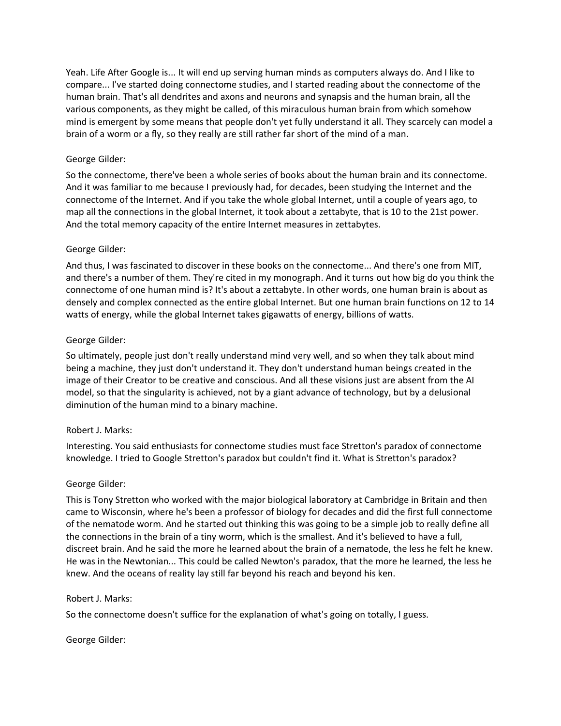Yeah. Life After Google is... It will end up serving human minds as computers always do. And I like to compare... I've started doing connectome studies, and I started reading about the connectome of the human brain. That's all dendrites and axons and neurons and synapsis and the human brain, all the various components, as they might be called, of this miraculous human brain from which somehow mind is emergent by some means that people don't yet fully understand it all. They scarcely can model a brain of a worm or a fly, so they really are still rather far short of the mind of a man.

# George Gilder:

So the connectome, there've been a whole series of books about the human brain and its connectome. And it was familiar to me because I previously had, for decades, been studying the Internet and the connectome of the Internet. And if you take the whole global Internet, until a couple of years ago, to map all the connections in the global Internet, it took about a zettabyte, that is 10 to the 21st power. And the total memory capacity of the entire Internet measures in zettabytes.

# George Gilder:

And thus, I was fascinated to discover in these books on the connectome... And there's one from MIT, and there's a number of them. They're cited in my monograph. And it turns out how big do you think the connectome of one human mind is? It's about a zettabyte. In other words, one human brain is about as densely and complex connected as the entire global Internet. But one human brain functions on 12 to 14 watts of energy, while the global Internet takes gigawatts of energy, billions of watts.

# George Gilder:

So ultimately, people just don't really understand mind very well, and so when they talk about mind being a machine, they just don't understand it. They don't understand human beings created in the image of their Creator to be creative and conscious. And all these visions just are absent from the AI model, so that the singularity is achieved, not by a giant advance of technology, but by a delusional diminution of the human mind to a binary machine.

#### Robert J. Marks:

Interesting. You said enthusiasts for connectome studies must face Stretton's paradox of connectome knowledge. I tried to Google Stretton's paradox but couldn't find it. What is Stretton's paradox?

#### George Gilder:

This is Tony Stretton who worked with the major biological laboratory at Cambridge in Britain and then came to Wisconsin, where he's been a professor of biology for decades and did the first full connectome of the nematode worm. And he started out thinking this was going to be a simple job to really define all the connections in the brain of a tiny worm, which is the smallest. And it's believed to have a full, discreet brain. And he said the more he learned about the brain of a nematode, the less he felt he knew. He was in the Newtonian... This could be called Newton's paradox, that the more he learned, the less he knew. And the oceans of reality lay still far beyond his reach and beyond his ken.

#### Robert J. Marks:

So the connectome doesn't suffice for the explanation of what's going on totally, I guess.

George Gilder: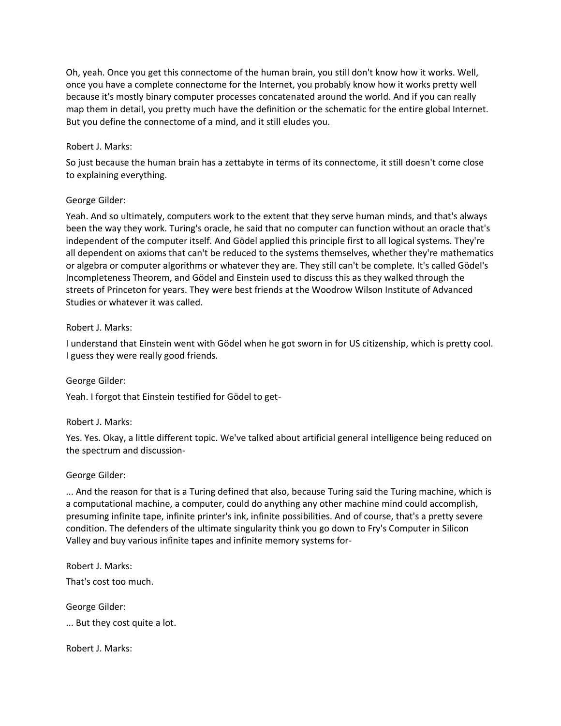Oh, yeah. Once you get this connectome of the human brain, you still don't know how it works. Well, once you have a complete connectome for the Internet, you probably know how it works pretty well because it's mostly binary computer processes concatenated around the world. And if you can really map them in detail, you pretty much have the definition or the schematic for the entire global Internet. But you define the connectome of a mind, and it still eludes you.

## Robert J. Marks:

So just because the human brain has a zettabyte in terms of its connectome, it still doesn't come close to explaining everything.

#### George Gilder:

Yeah. And so ultimately, computers work to the extent that they serve human minds, and that's always been the way they work. Turing's oracle, he said that no computer can function without an oracle that's independent of the computer itself. And Gödel applied this principle first to all logical systems. They're all dependent on axioms that can't be reduced to the systems themselves, whether they're mathematics or algebra or computer algorithms or whatever they are. They still can't be complete. It's called Gödel's Incompleteness Theorem, and Gödel and Einstein used to discuss this as they walked through the streets of Princeton for years. They were best friends at the Woodrow Wilson Institute of Advanced Studies or whatever it was called.

# Robert J. Marks:

I understand that Einstein went with Gödel when he got sworn in for US citizenship, which is pretty cool. I guess they were really good friends.

#### George Gilder:

Yeah. I forgot that Einstein testified for Gödel to get-

#### Robert J. Marks:

Yes. Yes. Okay, a little different topic. We've talked about artificial general intelligence being reduced on the spectrum and discussion-

#### George Gilder:

... And the reason for that is a Turing defined that also, because Turing said the Turing machine, which is a computational machine, a computer, could do anything any other machine mind could accomplish, presuming infinite tape, infinite printer's ink, infinite possibilities. And of course, that's a pretty severe condition. The defenders of the ultimate singularity think you go down to Fry's Computer in Silicon Valley and buy various infinite tapes and infinite memory systems for-

Robert J. Marks: That's cost too much.

George Gilder:

... But they cost quite a lot.

Robert J. Marks: